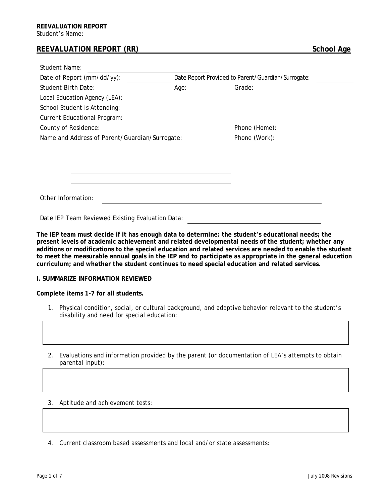## **REEVALUATION REPORT (RR)** School Age

| <b>Student Name:</b>                           |                                                    |               |
|------------------------------------------------|----------------------------------------------------|---------------|
| Date of Report (mm/dd/yy):                     | Date Report Provided to Parent/Guardian/Surrogate: |               |
| Student Birth Date:                            | Age:                                               | Grade:        |
| Local Education Agency (LEA):                  |                                                    |               |
| School Student is Attending:                   |                                                    |               |
| <b>Current Educational Program:</b>            |                                                    |               |
| County of Residence:                           |                                                    | Phone (Home): |
| Name and Address of Parent/Guardian/Surrogate: |                                                    | Phone (Work): |
|                                                |                                                    |               |
|                                                |                                                    |               |
|                                                |                                                    |               |
|                                                |                                                    |               |
|                                                |                                                    |               |
| Other Information:                             |                                                    |               |
|                                                |                                                    |               |

Date IEP Team Reviewed Existing Evaluation Data:

**The IEP team must decide if it has enough data to determine: the student's educational needs; the present levels of academic achievement and related developmental needs of the student; whether any additions or modifications to the special education and related services are needed to enable the student to meet the measurable annual goals in the IEP and to participate as appropriate in the general education curriculum; and whether the student continues to need special education and related services.** 

## **I. SUMMARIZE INFORMATION REVIEWED**

**Complete items 1-7 for all students.** 

- 1. Physical condition, social, or cultural background, and adaptive behavior relevant to the student's disability and need for special education:
- 2. Evaluations and information provided by the parent (or documentation of LEA's attempts to obtain parental input):
- 3. Aptitude and achievement tests:

4. Current classroom based assessments and local and/or state assessments: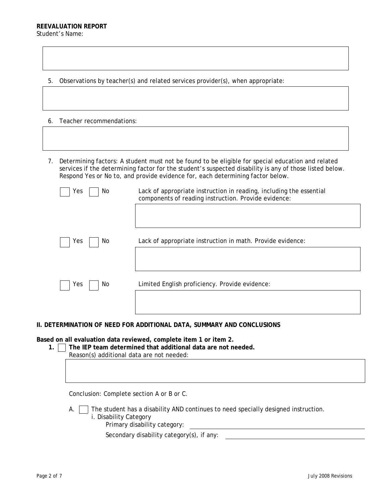5. Observations by teacher(s) and related services provider(s), when appropriate:

- 6. Teacher recommendations:
- 7. Determining factors: A student must not be found to be eligible for special education and related services if the determining factor for the student's suspected disability is any of those listed below. Respond Yes or No to, and provide evidence for, each determining factor below.

| Yes<br>No  | Lack of appropriate instruction in reading, including the essential<br>components of reading instruction. Provide evidence: |
|------------|-----------------------------------------------------------------------------------------------------------------------------|
| Yes<br>No. | Lack of appropriate instruction in math. Provide evidence:                                                                  |
| Yes<br>No. | Limited English proficiency. Provide evidence:                                                                              |

## **II. DETERMINATION OF NEED FOR ADDITIONAL DATA, SUMMARY AND CONCLUSIONS**

**Based on all evaluation data reviewed, complete item 1 or item 2.** 

**1. The IEP team determined that additional data are not needed.** 

Reason(s) additional data are not needed:

Conclusion: Complete section A or B or C.

A.  $\Box$  The student has a disability AND continues to need specially designed instruction. i. Disability Category Primary disability category:

Secondary disability category(s), if any: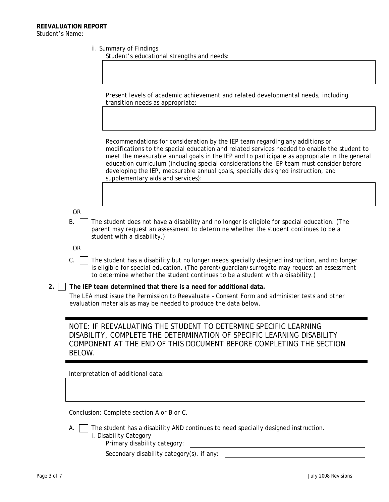|  | ii. Summary of Findings |  |  |
|--|-------------------------|--|--|
|--|-------------------------|--|--|

Student's educational strengths and needs:

Present levels of academic achievement and related developmental needs, including transition needs as appropriate:

Recommendations for consideration by the IEP team regarding any additions or modifications to the special education and related services needed to enable the student to meet the measurable annual goals in the IEP and to participate as appropriate in the general education curriculum (including special considerations the IEP team must consider before developing the IEP, measurable annual goals, specially designed instruction, and supplementary aids and services):

OR

 $B.$  The student does not have a disability and no longer is eligible for special education. (The parent may request an assessment to determine whether the student continues to be a student with a disability.)

OR

- $C.$  The student has a disability but no longer needs specially designed instruction, and no longer is eligible for special education. (The parent/guardian/surrogate may request an assessment to determine whether the student continues to be a student with a disability.)
- **2. The IEP team determined that there is a need for additional data.**

The LEA must issue the *Permission to Reevaluate – Consent Form* and administer tests and other evaluation materials as may be needed to produce the data below.

NOTE: IF REEVALUATING THE STUDENT TO DETERMINE SPECIFIC LEARNING DISABILITY, COMPLETE THE *DETERMINATION OF SPECIFIC LEARNING DISABILITY*  COMPONENT AT THE END OF THIS DOCUMENT BEFORE COMPLETING THE SECTION BELOW.

Interpretation of additional data:

Conclusion: Complete section A or B or C.

- A.  $\Box$  The student has a disability AND continues to need specially designed instruction. i. Disability Category
	- Primary disability category:
	- Secondary disability category(s), if any: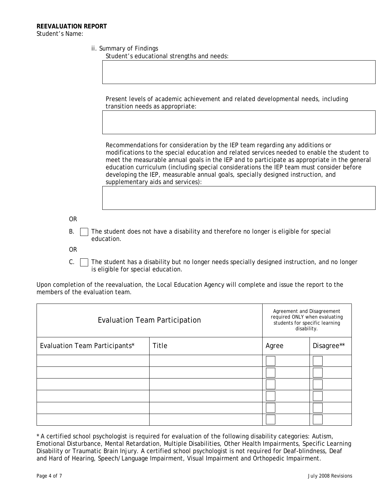|  | ii. Summary of Findings |  |  |
|--|-------------------------|--|--|
|--|-------------------------|--|--|

Student's educational strengths and needs:

Present levels of academic achievement and related developmental needs, including transition needs as appropriate:

Recommendations for consideration by the IEP team regarding any additions or modifications to the special education and related services needed to enable the student to meet the measurable annual goals in the IEP and to participate as appropriate in the general education curriculum (including special considerations the IEP team must consider before developing the IEP, measurable annual goals, specially designed instruction, and supplementary aids and services):

OR

 $B.$  The student does not have a disability and therefore no longer is eligible for special education.

OR

 $C.$  The student has a disability but no longer needs specially designed instruction, and no longer is eligible for special education.

Upon completion of the reevaluation, the Local Education Agency will complete and issue the report to the members of the evaluation team.

| <b>Evaluation Team Participation</b> |       | Agreement and Disagreement<br>required ONLY when evaluating<br>students for specific learning<br>disability. |            |
|--------------------------------------|-------|--------------------------------------------------------------------------------------------------------------|------------|
| Evaluation Team Participants*        | Title | Agree                                                                                                        | Disagree** |
|                                      |       |                                                                                                              |            |
|                                      |       |                                                                                                              |            |
|                                      |       |                                                                                                              |            |
|                                      |       |                                                                                                              |            |
|                                      |       |                                                                                                              |            |
|                                      |       |                                                                                                              |            |

\* A certified school psychologist is required for evaluation of the following disability categories: Autism, Emotional Disturbance, Mental Retardation, Multiple Disabilities, Other Health Impairments, Specific Learning Disability or Traumatic Brain Injury. A certified school psychologist is not required for Deaf-blindness, Deaf and Hard of Hearing, Speech/Language Impairment, Visual Impairment and Orthopedic Impairment.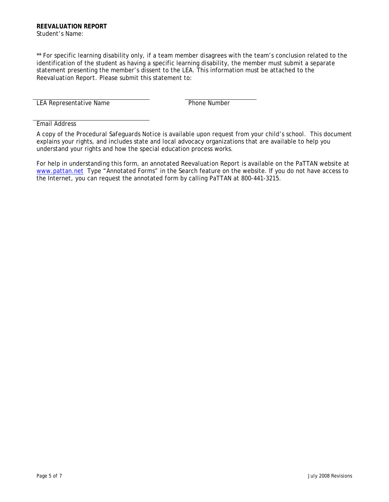\*\* For specific learning disability only, if a team member disagrees with the team's conclusion related to the identification of the student as having a specific learning disability, the member must submit a separate statement presenting the member's dissent to the LEA. This information must be attached to the *Reevaluation Report*. Please submit this statement to:

LEA Representative Name

Email Address

A copy of the *Procedural Safeguards Notice* is available upon request from your child's school. This document explains your rights, and includes state and local advocacy organizations that are available to help you understand your rights and how the special education process works.

For help in understanding this form, an annotated *Reevaluation Report* is available on the PaTTAN website at [www.pattan.net](http://www.pattan.net/) Type "Annotated Forms" in the Search feature on the website. If you do not have access to the Internet, you can request the annotated form by calling PaTTAN at 800-441-3215.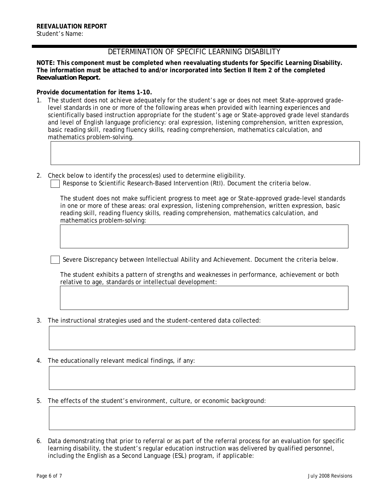## DETERMINATION OF SPECIFIC LEARNING DISABILITY

**NOTE: This component must be completed when reevaluating students for Specific Learning Disability. The information must be attached to and/or incorporated into Section II Item 2 of the completed**  *Reevaluation Report***.** 

**Provide documentation for items 1-10.** 

- 1. The student does not achieve adequately for the student's age or does not meet State-approved gradelevel standards in one or more of the following areas when provided with learning experiences and scientifically based instruction appropriate for the student's age or State-approved grade level standards and level of English language proficiency: oral expression, listening comprehension, written expression, basic reading skill, reading fluency skills, reading comprehension, mathematics calculation, and mathematics problem-solving.
- 2. Check below to identify the process(es) used to determine eligibility.

Response to Scientific Research-Based Intervention (RtI). Document the criteria below.

The student does not make sufficient progress to meet age or State-approved grade-level standards in one or more of these areas: oral expression, listening comprehension, written expression, basic reading skill, reading fluency skills, reading comprehension, mathematics calculation, and mathematics problem-solving:

Severe Discrepancy between Intellectual Ability and Achievement. Document the criteria below.

The student exhibits a pattern of strengths and weaknesses in performance, achievement or both relative to age, standards or intellectual development:

- 3. The instructional strategies used and the student-centered data collected:
- 4. The educationally relevant medical findings, if any:
- 5. The effects of the student's environment, culture, or economic background:

6. Data demonstrating that prior to referral or as part of the referral process for an evaluation for specific learning disability, the student's regular education instruction was delivered by qualified personnel, including the English as a Second Language (ESL) program, if applicable: